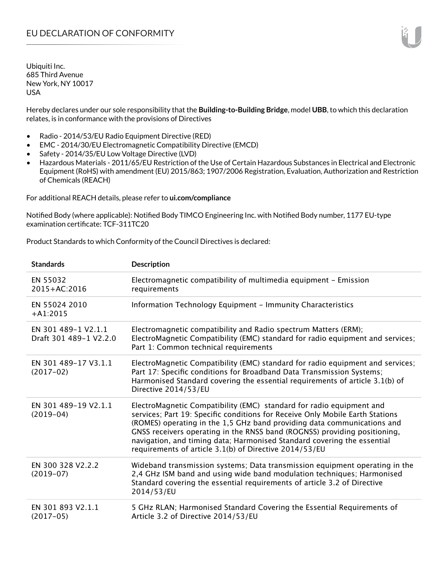Hereby declares under our sole responsibility that the **Building-to-Building Bridge**, model **UBB**, to which this declaration relates, is in conformance with the provisions of Directives

- Radio 2014/53/EU Radio Equipment Directive (RED)
- EMC 2014/30/EU Electromagnetic Compatibility Directive (EMCD)
- Safety 2014/35/EU Low Voltage Directive (LVD)
- Hazardous Materials 2011/65/EU Restriction of the Use of Certain Hazardous Substances in Electrical and Electronic Equipment (RoHS) with amendment (EU) 2015/863; 1907/2006 Registration, Evaluation, Authorization and Restriction of Chemicals (REACH)

For additional REACH details, please refer to **ui.com/compliance**

Notified Body (where applicable): Notified Body TIMCO Engineering Inc. with Notified Body number, 1177 EU-type examination certificate: TCF-311TC20

Product Standards to which Conformity of the Council Directives is declared:

| <b>Standards</b>                              | <b>Description</b>                                                                                                                                                                                                                                                                                                                                                                                                                                 |
|-----------------------------------------------|----------------------------------------------------------------------------------------------------------------------------------------------------------------------------------------------------------------------------------------------------------------------------------------------------------------------------------------------------------------------------------------------------------------------------------------------------|
| EN 55032<br>2015+AC:2016                      | Electromagnetic compatibility of multimedia equipment - Emission<br>requirements                                                                                                                                                                                                                                                                                                                                                                   |
| EN 55024 2010<br>$+A1:2015$                   | Information Technology Equipment - Immunity Characteristics                                                                                                                                                                                                                                                                                                                                                                                        |
| EN 301 489-1 V2.1.1<br>Draft 301 489-1 V2.2.0 | Electromagnetic compatibility and Radio spectrum Matters (ERM);<br>ElectroMagnetic Compatibility (EMC) standard for radio equipment and services;<br>Part 1: Common technical requirements                                                                                                                                                                                                                                                         |
| EN 301 489-17 V3.1.1<br>$(2017-02)$           | ElectroMagnetic Compatibility (EMC) standard for radio equipment and services;<br>Part 17: Specific conditions for Broadband Data Transmission Systems;<br>Harmonised Standard covering the essential requirements of article 3.1(b) of<br>Directive 2014/53/EU                                                                                                                                                                                    |
| EN 301 489-19 V2.1.1<br>$(2019-04)$           | ElectroMagnetic Compatibility (EMC) standard for radio equipment and<br>services; Part 19: Specific conditions for Receive Only Mobile Earth Stations<br>(ROMES) operating in the 1,5 GHz band providing data communications and<br>GNSS receivers operating in the RNSS band (ROGNSS) providing positioning,<br>navigation, and timing data; Harmonised Standard covering the essential<br>requirements of article 3.1(b) of Directive 2014/53/EU |
| EN 300 328 V2.2.2<br>$(2019-07)$              | Wideband transmission systems; Data transmission equipment operating in the<br>2,4 GHz ISM band and using wide band modulation techniques; Harmonised<br>Standard covering the essential requirements of article 3.2 of Directive<br>2014/53/EU                                                                                                                                                                                                    |
| EN 301 893 V2.1.1<br>$(2017-05)$              | 5 GHz RLAN; Harmonised Standard Covering the Essential Requirements of<br>Article 3.2 of Directive 2014/53/EU                                                                                                                                                                                                                                                                                                                                      |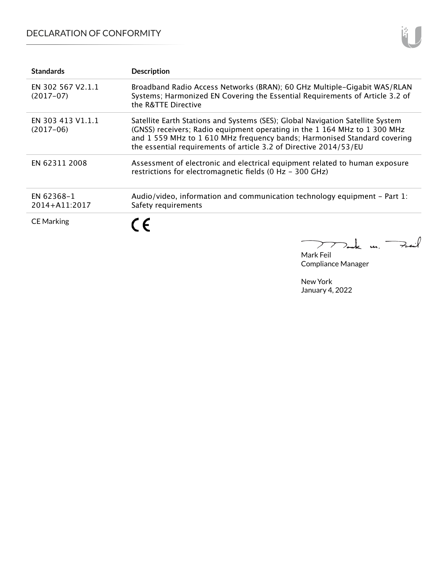# DECLARATION OF CONFORMITY

| <b>Standards</b>                 | <b>Description</b>                                                                                                                                                                                                                                                                                         |
|----------------------------------|------------------------------------------------------------------------------------------------------------------------------------------------------------------------------------------------------------------------------------------------------------------------------------------------------------|
| EN 302 567 V2.1.1<br>$(2017-07)$ | Broadband Radio Access Networks (BRAN); 60 GHz Multiple-Gigabit WAS/RLAN<br>Systems; Harmonized EN Covering the Essential Requirements of Article 3.2 of<br>the R&TTE Directive                                                                                                                            |
| EN 303 413 V1.1.1<br>$(2017-06)$ | Satellite Earth Stations and Systems (SES); Global Navigation Satellite System<br>(GNSS) receivers; Radio equipment operating in the 1 164 MHz to 1 300 MHz<br>and 1559 MHz to 1610 MHz frequency bands; Harmonised Standard covering<br>the essential requirements of article 3.2 of Directive 2014/53/EU |
| EN 62311 2008                    | Assessment of electronic and electrical equipment related to human exposure<br>restrictions for electromagnetic fields (0 Hz - 300 GHz)                                                                                                                                                                    |
| EN 62368-1<br>2014+A11:2017      | Audio/video, information and communication technology equipment – Part 1:<br>Safety requirements                                                                                                                                                                                                           |
| <b>CE Marking</b>                | C E                                                                                                                                                                                                                                                                                                        |

Mark Feil Compliance Manager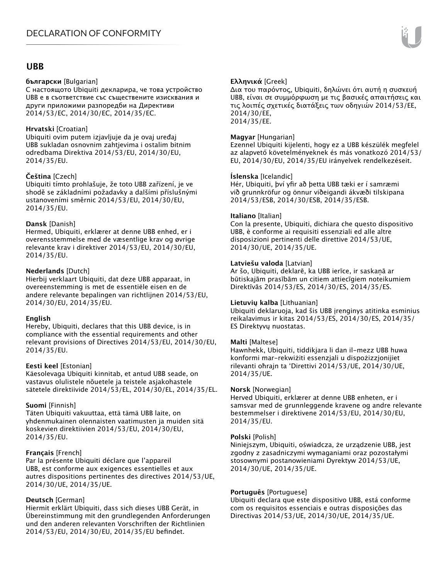## **UBB**

### **български** [Bulgarian]

С настоящото Ubiquiti декларира, че това устройство UBB е в съответствие със съществените изисквания и други приложими разпоредби на Директиви 2014/53/EC, 2014/30/ЕС, 2014/35/ЕС.

## **Hrvatski** [Croatian]

Ubiquiti ovim putem izjavljuje da je ovaj uređaj UBB sukladan osnovnim zahtjevima i ostalim bitnim odredbama Direktiva 2014/53/EU, 2014/30/EU, 2014/35/EU.

## **Čeština** [Czech]

Ubiquiti tímto prohlašuje, že toto UBB zařízení, je ve shodě se základními požadavky a dalšími příslušnými ustanoveními směrnic 2014/53/EU, 2014/30/EU, 2014/35/EU.

## **Dansk** [Danish]

Hermed, Ubiquiti, erklærer at denne UBB enhed, er i overensstemmelse med de væsentlige krav og øvrige relevante krav i direktiver 2014/53/EU, 2014/30/EU, 2014/35/EU.

## **Nederlands** [Dutch]

Hierbij verklaart Ubiquiti, dat deze UBB apparaat, in overeenstemming is met de essentiële eisen en de andere relevante bepalingen van richtlijnen 2014/53/EU, 2014/30/EU, 2014/35/EU.

## **English**

Hereby, Ubiquiti, declares that this UBB device, is in compliance with the essential requirements and other relevant provisions of Directives 2014/53/EU, 2014/30/EU, 2014/35/EU.

## **Eesti keel** [Estonian]

Käesolevaga Ubiquiti kinnitab, et antud UBB seade, on vastavus olulistele nõuetele ja teistele asjakohastele sätetele direktiivide 2014/53/EL, 2014/30/EL, 2014/35/EL.

## **Suomi** [Finnish]

Täten Ubiquiti vakuuttaa, että tämä UBB laite, on yhdenmukainen olennaisten vaatimusten ja muiden sitä koskevien direktiivien 2014/53/EU, 2014/30/EU, 2014/35/EU.

## **Français** [French]

Par la présente Ubiquiti déclare que l'appareil UBB, est conforme aux exigences essentielles et aux autres dispositions pertinentes des directives 2014/53/UE, 2014/30/UE, 2014/35/UE.

## **Deutsch** [German]

Hiermit erklärt Ubiquiti, dass sich dieses UBB Gerät, in Übereinstimmung mit den grundlegenden Anforderungen und den anderen relevanten Vorschriften der Richtlinien 2014/53/EU, 2014/30/EU, 2014/35/EU befindet.

## **Ελληνικά** [Greek]

Δια του παρόντος, Ubiquiti, δηλώνει ότι αυτή η συσκευή UBB, είναι σε συμμόρφωση με τις βασικές απαιτήσεις και τις λοιπές σχετικές διατάξεις των οδηγιών 2014/53/EE, 2014/30/EE, 2014/35/EE.

## **Magyar** [Hungarian]

Ezennel Ubiquiti kijelenti, hogy ez a UBB készülék megfelel az alapvető követelményeknek és más vonatkozó 2014/53/ EU, 2014/30/EU, 2014/35/EU irányelvek rendelkezéseit.

## **Íslenska** [Icelandic]

Hér, Ubiquiti, því yfir að þetta UBB tæki er í samræmi við grunnkröfur og önnur viðeigandi ákvæði tilskipana 2014/53/ESB, 2014/30/ESB, 2014/35/ESB.

## **Italiano** [Italian]

Con la presente, Ubiquiti, dichiara che questo dispositivo UBB, è conforme ai requisiti essenziali ed alle altre disposizioni pertinenti delle direttive 2014/53/UE, 2014/30/UE, 2014/35/UE.

## **Latviešu valoda** [Latvian]

Ar šo, Ubiquiti, deklarē, ka UBB ierīce, ir saskaņā ar būtiskajām prasībām un citiem attiecīgiem noteikumiem Direktīvās 2014/53/ES, 2014/30/ES, 2014/35/ES.

## **Lietuvių kalba** [Lithuanian]

Ubiquiti deklaruoja, kad šis UBB įrenginys atitinka esminius reikalavimus ir kitas 2014/53/ES, 2014/30/ES, 2014/35/ ES Direktyvų nuostatas.

## **Malti** [Maltese]

Hawnhekk, Ubiquiti, tiddikjara li dan il-mezz UBB huwa konformi mar-rekwiżiti essenzjali u dispożizzjonijiet rilevanti oħrajn ta 'Direttivi 2014/53/UE, 2014/30/UE, 2014/35/UE.

## **Norsk** [Norwegian]

Herved Ubiquiti, erklærer at denne UBB enheten, er i samsvar med de grunnleggende kravene og andre relevante bestemmelser i direktivene 2014/53/EU, 2014/30/EU, 2014/35/EU.

## **Polski** [Polish]

Niniejszym, Ubiquiti, oświadcza, że urządzenie UBB, jest zgodny z zasadniczymi wymaganiami oraz pozostałymi stosownymi postanowieniami Dyrektyw 2014/53/UE, 2014/30/UE, 2014/35/UE.

## **Português** [Portuguese]

Ubiquiti declara que este dispositivo UBB, está conforme com os requisitos essenciais e outras disposições das Directivas 2014/53/UE, 2014/30/UE, 2014/35/UE.

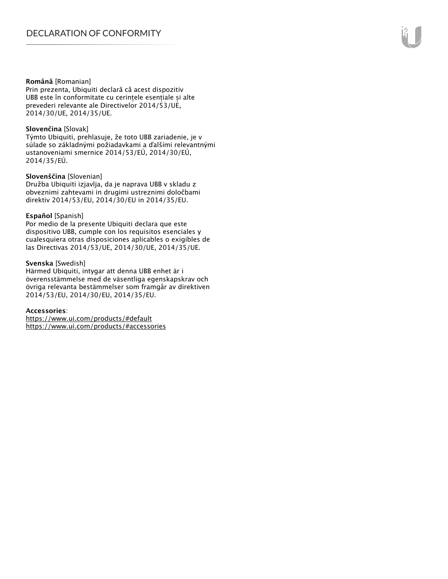#### **Română** [Romanian]

Prin prezenta, Ubiquiti declară că acest dispozitiv UBB este în conformitate cu cerințele esențiale și alte prevederi relevante ale Directivelor 2014/53/UE, 2014/30/UE, 2014/35/UE.

#### **Slovenčina** [Slovak]

Týmto Ubiquiti, prehlasuje, že toto UBB zariadenie, je v súlade so základnými požiadavkami a ďalšími relevantnými ustanoveniami smernice 2014/53/EÚ, 2014/30/EÚ, 2014/35/EÚ.

#### **Slovenščina** [Slovenian]

Družba Ubiquiti izjavlja, da je naprava UBB v skladu z obveznimi zahtevami in drugimi ustreznimi določbami direktiv 2014/53/EU, 2014/30/EU in 2014/35/EU.

#### **Español** [Spanish]

Por medio de la presente Ubiquiti declara que este dispositivo UBB, cumple con los requisitos esenciales y cualesquiera otras disposiciones aplicables o exigibles de las Directivas 2014/53/UE, 2014/30/UE, 2014/35/UE.

#### **Svenska** [Swedish]

Härmed Ubiquiti, intygar att denna UBB enhet är i överensstämmelse med de väsentliga egenskapskrav och övriga relevanta bestämmelser som framgår av direktiven 2014/53/EU, 2014/30/EU, 2014/35/EU.

#### **Accessories**:

https://www.ui.com/products/#default https://www.ui.com/products/#accessories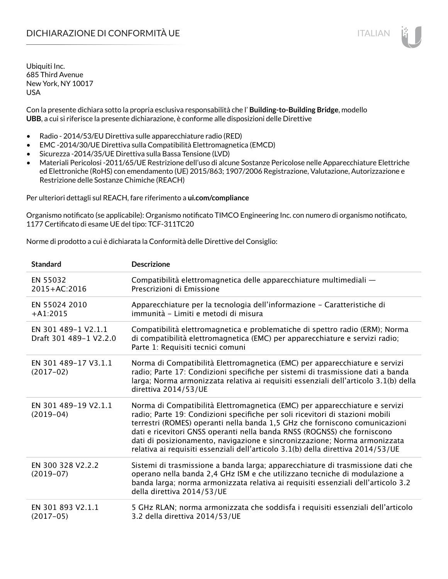Con la presente dichiara sotto la propria esclusiva responsabilità che l' **Building-to-Building Bridge**, modello **UBB**, a cui si riferisce la presente dichiarazione, è conforme alle disposizioni delle Direttive

- Radio 2014/53/EU Direttiva sulle apparecchiature radio (RED)
- EMC -2014/30/UE Direttiva sulla Compatibilità Elettromagnetica (EMCD)
- Sicurezza -2014/35/UE Direttiva sulla Bassa Tensione (LVD)
- Materiali Pericolosi -2011/65/UE Restrizione dell'uso di alcune Sostanze Pericolose nelle Apparecchiature Elettriche ed Elettroniche (RoHS) con emendamento (UE) 2015/863; 1907/2006 Registrazione, Valutazione, Autorizzazione e Restrizione delle Sostanze Chimiche (REACH)

Per ulteriori dettagli sul REACH, fare riferimento a **ui.com/compliance**

Organismo notificato (se applicabile): Organismo notificato TIMCO Engineering Inc. con numero di organismo notificato, 1177 Certificato di esame UE del tipo: TCF-311TC20

Norme di prodotto a cui è dichiarata la Conformità delle Direttive del Consiglio:

| <b>Standard</b>                               | <b>Descrizione</b>                                                                                                                                                                                                                                                                                                                                                                                                                                                                       |
|-----------------------------------------------|------------------------------------------------------------------------------------------------------------------------------------------------------------------------------------------------------------------------------------------------------------------------------------------------------------------------------------------------------------------------------------------------------------------------------------------------------------------------------------------|
| EN 55032<br>2015+AC:2016                      | Compatibilità elettromagnetica delle apparecchiature multimediali -<br>Prescrizioni di Emissione                                                                                                                                                                                                                                                                                                                                                                                         |
| EN 55024 2010<br>$+A1:2015$                   | Apparecchiature per la tecnologia dell'informazione - Caratteristiche di<br>immunità - Limiti e metodi di misura                                                                                                                                                                                                                                                                                                                                                                         |
| EN 301 489-1 V2.1.1<br>Draft 301 489-1 V2.2.0 | Compatibilità elettromagnetica e problematiche di spettro radio (ERM); Norma<br>di compatibilità elettromagnetica (EMC) per apparecchiature e servizi radio;<br>Parte 1: Requisiti tecnici comuni                                                                                                                                                                                                                                                                                        |
| EN 301 489-17 V3.1.1<br>$(2017-02)$           | Norma di Compatibilità Elettromagnetica (EMC) per apparecchiature e servizi<br>radio; Parte 17: Condizioni specifiche per sistemi di trasmissione dati a banda<br>larga; Norma armonizzata relativa ai requisiti essenziali dell'articolo 3.1(b) della<br>direttiva 2014/53/UE                                                                                                                                                                                                           |
| EN 301 489-19 V2.1.1<br>$(2019-04)$           | Norma di Compatibilità Elettromagnetica (EMC) per apparecchiature e servizi<br>radio; Parte 19: Condizioni specifiche per soli ricevitori di stazioni mobili<br>terrestri (ROMES) operanti nella banda 1,5 GHz che forniscono comunicazioni<br>dati e ricevitori GNSS operanti nella banda RNSS (ROGNSS) che forniscono<br>dati di posizionamento, navigazione e sincronizzazione; Norma armonizzata<br>relativa ai requisiti essenziali dell'articolo 3.1(b) della direttiva 2014/53/UE |
| EN 300 328 V2.2.2<br>$(2019-07)$              | Sistemi di trasmissione a banda larga; apparecchiature di trasmissione dati che<br>operano nella banda 2,4 GHz ISM e che utilizzano tecniche di modulazione a<br>banda larga; norma armonizzata relativa ai requisiti essenziali dell'articolo 3.2<br>della direttiva 2014/53/UE                                                                                                                                                                                                         |
| EN 301 893 V2.1.1<br>$(2017-05)$              | 5 GHz RLAN; norma armonizzata che soddisfa i requisiti essenziali dell'articolo<br>3.2 della direttiva 2014/53/UE                                                                                                                                                                                                                                                                                                                                                                        |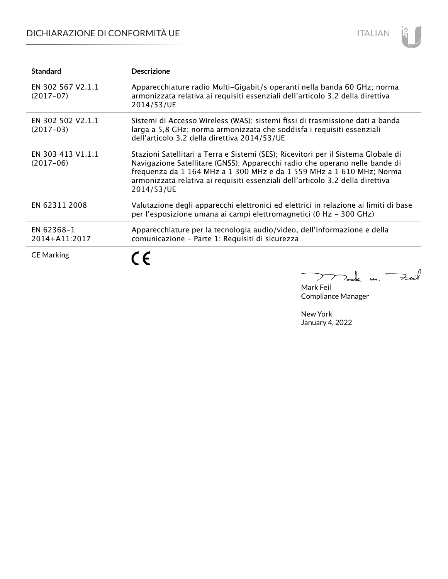# DICHIARAZIONE DI CONFORMITÀ UE



| <b>Standard</b>                  | <b>Descrizione</b>                                                                                                                                                                                                                                                                                                                        |
|----------------------------------|-------------------------------------------------------------------------------------------------------------------------------------------------------------------------------------------------------------------------------------------------------------------------------------------------------------------------------------------|
| EN 302 567 V2.1.1<br>$(2017-07)$ | Apparecchiature radio Multi-Gigabit/s operanti nella banda 60 GHz; norma<br>armonizzata relativa ai requisiti essenziali dell'articolo 3.2 della direttiva<br>2014/53/UE                                                                                                                                                                  |
| EN 302 502 V2.1.1<br>$(2017-03)$ | Sistemi di Accesso Wireless (WAS); sistemi fissi di trasmissione dati a banda<br>larga a 5,8 GHz; norma armonizzata che soddisfa i requisiti essenziali<br>dell'articolo 3.2 della direttiva 2014/53/UE                                                                                                                                   |
| EN 303 413 V1.1.1<br>$(2017-06)$ | Stazioni Satellitari a Terra e Sistemi (SES); Ricevitori per il Sistema Globale di<br>Navigazione Satellitare (GNSS); Apparecchi radio che operano nelle bande di<br>frequenza da 1 164 MHz a 1 300 MHz e da 1 559 MHz a 1 610 MHz; Norma<br>armonizzata relativa ai requisiti essenziali dell'articolo 3.2 della direttiva<br>2014/53/UE |
| EN 62311 2008                    | Valutazione degli apparecchi elettronici ed elettrici in relazione ai limiti di base<br>per l'esposizione umana ai campi elettromagnetici (0 Hz - 300 GHz)                                                                                                                                                                                |
| EN 62368-1<br>2014+A11:2017      | Apparecchiature per la tecnologia audio/video, dell'informazione e della<br>comunicazione - Parte 1: Requisiti di sicurezza                                                                                                                                                                                                               |
| <b>CE Marking</b>                |                                                                                                                                                                                                                                                                                                                                           |

Mak m. Fail  $\overline{\phantom{m}}$ Mark Feil

Compliance Manager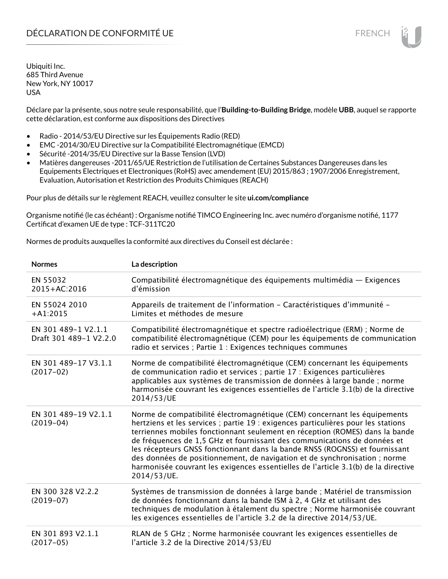Déclare par la présente, sous notre seule responsabilité, que l'**Building-to-Building Bridge**, modèle **UBB**, auquel se rapporte cette déclaration, est conforme aux dispositions des Directives

- Radio 2014/53/EU Directive sur les Équipements Radio (RED)
- EMC -2014/30/EU Directive sur la Compatibilité Electromagnétique (EMCD)
- Sécurité -2014/35/EU Directive sur la Basse Tension (LVD)
- Matières dangereuses -2011/65/UE Restriction de l'utilisation de Certaines Substances Dangereuses dans les Equipements Electriques et Electroniques (RoHS) avec amendement (EU) 2015/863 ; 1907/2006 Enregistrement, Evaluation, Autorisation et Restriction des Produits Chimiques (REACH)

Pour plus de détails sur le règlement REACH, veuillez consulter le site **ui.com/compliance**

Organisme notifié (le cas échéant) : Organisme notifié TIMCO Engineering Inc. avec numéro d'organisme notifié, 1177 Certificat d'examen UE de type : TCF-311TC20

Normes de produits auxquelles la conformité aux directives du Conseil est déclarée :

| <b>Normes</b>                                 | La description                                                                                                                                                                                                                                                                                                                                                                                                                                                                                                                                                                               |
|-----------------------------------------------|----------------------------------------------------------------------------------------------------------------------------------------------------------------------------------------------------------------------------------------------------------------------------------------------------------------------------------------------------------------------------------------------------------------------------------------------------------------------------------------------------------------------------------------------------------------------------------------------|
| EN 55032<br>2015+AC:2016                      | Compatibilité électromagnétique des équipements multimédia — Exigences<br>d'émission                                                                                                                                                                                                                                                                                                                                                                                                                                                                                                         |
| EN 55024 2010<br>$+A1:2015$                   | Appareils de traitement de l'information - Caractéristiques d'immunité -<br>Limites et méthodes de mesure                                                                                                                                                                                                                                                                                                                                                                                                                                                                                    |
| EN 301 489-1 V2.1.1<br>Draft 301 489-1 V2.2.0 | Compatibilité électromagnétique et spectre radioélectrique (ERM) ; Norme de<br>compatibilité électromagnétique (CEM) pour les équipements de communication<br>radio et services ; Partie 1 : Exigences techniques communes                                                                                                                                                                                                                                                                                                                                                                   |
| EN 301 489-17 V3.1.1<br>$(2017-02)$           | Norme de compatibilité électromagnétique (CEM) concernant les équipements<br>de communication radio et services ; partie 17 : Exigences particulières<br>applicables aux systèmes de transmission de données à large bande ; norme<br>harmonisée couvrant les exigences essentielles de l'article 3.1(b) de la directive<br>2014/53/UE                                                                                                                                                                                                                                                       |
| EN 301 489-19 V2.1.1<br>$(2019-04)$           | Norme de compatibilité électromagnétique (CEM) concernant les équipements<br>hertziens et les services ; partie 19 : exigences particulières pour les stations<br>terriennes mobiles fonctionnant seulement en réception (ROMES) dans la bande<br>de fréquences de 1,5 GHz et fournissant des communications de données et<br>les récepteurs GNSS fonctionnant dans la bande RNSS (ROGNSS) et fournissant<br>des données de positionnement, de navigation et de synchronisation ; norme<br>harmonisée couvrant les exigences essentielles de l'article 3.1(b) de la directive<br>2014/53/UE. |
| EN 300 328 V2.2.2<br>$(2019-07)$              | Systèmes de transmission de données à large bande ; Matériel de transmission<br>de données fonctionnant dans la bande ISM à 2, 4 GHz et utilisant des<br>techniques de modulation à étalement du spectre ; Norme harmonisée couvrant<br>les exigences essentielles de l'article 3.2 de la directive 2014/53/UE.                                                                                                                                                                                                                                                                              |
| EN 301 893 V2.1.1<br>$(2017-05)$              | RLAN de 5 GHz ; Norme harmonisée couvrant les exigences essentielles de<br>l'article 3.2 de la Directive 2014/53/EU                                                                                                                                                                                                                                                                                                                                                                                                                                                                          |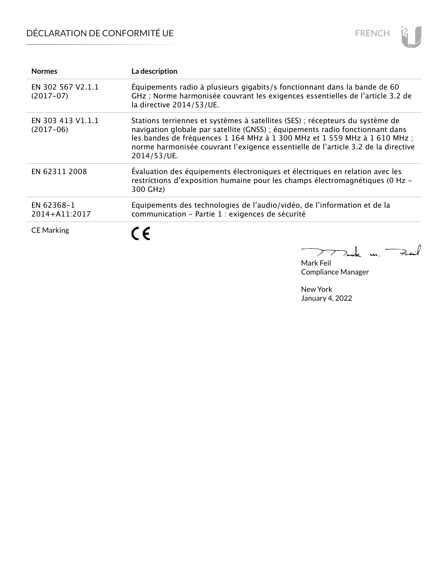# DÉCLARATION DE CONFORMITÉ UE



| <b>Normes</b>                    | La description                                                                                                                                                                                                                                                                                                                                 |
|----------------------------------|------------------------------------------------------------------------------------------------------------------------------------------------------------------------------------------------------------------------------------------------------------------------------------------------------------------------------------------------|
| EN 302 567 V2.1.1<br>$(2017-07)$ | Équipements radio à plusieurs gigabits/s fonctionnant dans la bande de 60<br>GHz ; Norme harmonisée couvrant les exigences essentielles de l'article 3.2 de<br>la directive 2014/53/UE.                                                                                                                                                        |
| EN 303 413 V1.1.1<br>$(2017-06)$ | Stations terriennes et systèmes à satellites (SES) ; récepteurs du système de<br>navigation globale par satellite (GNSS) ; équipements radio fonctionnant dans<br>les bandes de fréquences 1 164 MHz à 1 300 MHz et 1 559 MHz à 1 610 MHz;<br>norme harmonisée couvrant l'exigence essentielle de l'article 3.2 de la directive<br>2014/53/UE. |
| EN 62311 2008                    | Évaluation des équipements électroniques et électriques en relation avec les<br>restrictions d'exposition humaine pour les champs électromagnétiques (0 Hz -<br>300 GHz)                                                                                                                                                                       |
| EN 62368-1<br>2014+A11:2017      | Equipements des technologies de l'audio/vidéo, de l'information et de la<br>communication - Partie 1 : exigences de sécurité                                                                                                                                                                                                                   |
| <b>CE Marking</b>                | C E                                                                                                                                                                                                                                                                                                                                            |

Tak m. Fait

Mark Feil Compliance Manager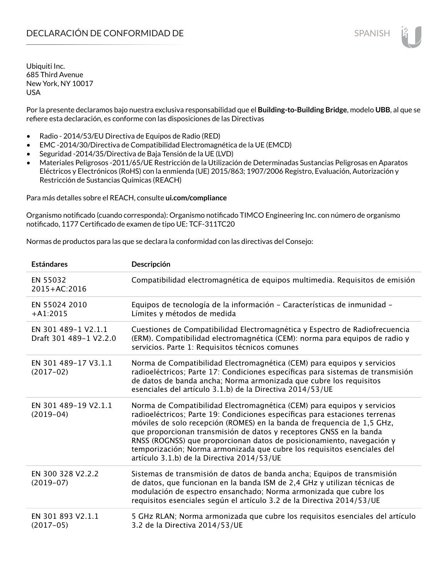Por la presente declaramos bajo nuestra exclusiva responsabilidad que el **Building-to-Building Bridge**, modelo **UBB**, al que se refiere esta declaración, es conforme con las disposiciones de las Directivas

- Radio 2014/53/EU Directiva de Equipos de Radio (RED)
- EMC -2014/30/Directiva de Compatibilidad Electromagnética de la UE (EMCD)
- Seguridad -2014/35/Directiva de Baja Tensión de la UE (LVD)
- Materiales Peligrosos -2011/65/UE Restricción de la Utilización de Determinadas Sustancias Peligrosas en Aparatos Eléctricos y Electrónicos (RoHS) con la enmienda (UE) 2015/863; 1907/2006 Registro, Evaluación, Autorización y Restricción de Sustancias Químicas (REACH)

Para más detalles sobre el REACH, consulte **ui.com/compliance**

Organismo notificado (cuando corresponda): Organismo notificado TIMCO Engineering Inc. con número de organismo notificado, 1177 Certificado de examen de tipo UE: TCF-311TC20

Normas de productos para las que se declara la conformidad con las directivas del Consejo:

| <b>Estándares</b>                             | Descripción                                                                                                                                                                                                                                                                                                                                                                                                                                                                                                |
|-----------------------------------------------|------------------------------------------------------------------------------------------------------------------------------------------------------------------------------------------------------------------------------------------------------------------------------------------------------------------------------------------------------------------------------------------------------------------------------------------------------------------------------------------------------------|
| EN 55032<br>2015+AC:2016                      | Compatibilidad electromagnética de equipos multimedia. Requisitos de emisión                                                                                                                                                                                                                                                                                                                                                                                                                               |
| EN 55024 2010<br>$+A1:2015$                   | Equipos de tecnología de la información - Características de inmunidad -<br>Límites y métodos de medida                                                                                                                                                                                                                                                                                                                                                                                                    |
| EN 301 489-1 V2.1.1<br>Draft 301 489-1 V2.2.0 | Cuestiones de Compatibilidad Electromagnética y Espectro de Radiofrecuencia<br>(ERM). Compatibilidad electromagnética (CEM): norma para equipos de radio y<br>servicios. Parte 1: Requisitos técnicos comunes                                                                                                                                                                                                                                                                                              |
| EN 301 489-17 V3.1.1<br>$(2017-02)$           | Norma de Compatibilidad Electromagnética (CEM) para equipos y servicios<br>radioeléctricos; Parte 17: Condiciones específicas para sistemas de transmisión<br>de datos de banda ancha; Norma armonizada que cubre los requisitos<br>esenciales del artículo 3.1.b) de la Directiva 2014/53/UE                                                                                                                                                                                                              |
| EN 301 489-19 V2.1.1<br>$(2019-04)$           | Norma de Compatibilidad Electromagnética (CEM) para equipos y servicios<br>radioeléctricos; Parte 19: Condiciones específicas para estaciones terrenas<br>móviles de solo recepción (ROMES) en la banda de frequencia de 1,5 GHz,<br>que proporcionan transmisión de datos y receptores GNSS en la banda<br>RNSS (ROGNSS) que proporcionan datos de posicionamiento, navegación y<br>temporización; Norma armonizada que cubre los requisitos esenciales del<br>artículo 3.1.b) de la Directiva 2014/53/UE |
| EN 300 328 V2.2.2<br>$(2019-07)$              | Sistemas de transmisión de datos de banda ancha; Equipos de transmisión<br>de datos, que funcionan en la banda ISM de 2,4 GHz y utilizan técnicas de<br>modulación de espectro ensanchado; Norma armonizada que cubre los<br>requisitos esenciales según el artículo 3.2 de la Directiva 2014/53/UE                                                                                                                                                                                                        |
| EN 301 893 V2.1.1<br>$(2017-05)$              | 5 GHz RLAN; Norma armonizada que cubre los requisitos esenciales del artículo<br>3.2 de la Directiva 2014/53/UE                                                                                                                                                                                                                                                                                                                                                                                            |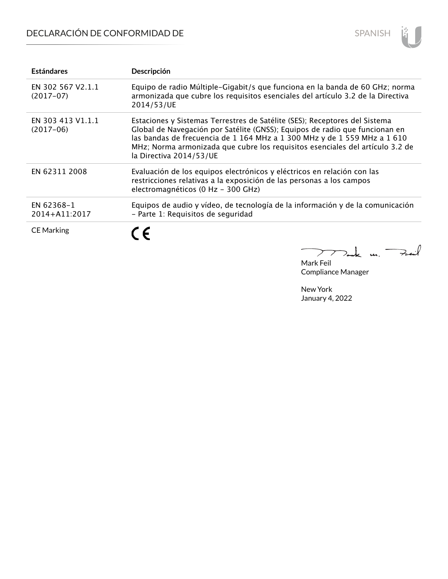# DECLARACIÓN DE CONFORMIDAD DE



| <b>Estándares</b>                | Descripción                                                                                                                                                                                                                                                                                                                                       |
|----------------------------------|---------------------------------------------------------------------------------------------------------------------------------------------------------------------------------------------------------------------------------------------------------------------------------------------------------------------------------------------------|
| EN 302 567 V2.1.1<br>$(2017-07)$ | Equipo de radio Múltiple-Gigabit/s que funciona en la banda de 60 GHz; norma<br>armonizada que cubre los requisitos esenciales del artículo 3.2 de la Directiva<br>2014/53/UE                                                                                                                                                                     |
| EN 303 413 V1.1.1<br>$(2017-06)$ | Estaciones y Sistemas Terrestres de Satélite (SES); Receptores del Sistema<br>Global de Navegación por Satélite (GNSS); Equipos de radio que funcionan en<br>las bandas de frecuencia de 1 164 MHz a 1 300 MHz y de 1 559 MHz a 1 610<br>MHz; Norma armonizada que cubre los requisitos esenciales del artículo 3.2 de<br>la Directiva 2014/53/UE |
| EN 62311 2008                    | Evaluación de los equipos electrónicos y eléctricos en relación con las<br>restricciones relativas a la exposición de las personas a los campos<br>electromagnéticos (0 Hz - 300 GHz)                                                                                                                                                             |
| EN 62368-1<br>2014+A11:2017      | Equipos de audio y vídeo, de tecnología de la información y de la comunicación<br>- Parte 1: Requisitos de seguridad                                                                                                                                                                                                                              |
| <b>CE Marking</b>                | $\epsilon$                                                                                                                                                                                                                                                                                                                                        |

 $772$  de un Fait

Mark Feil Compliance Manager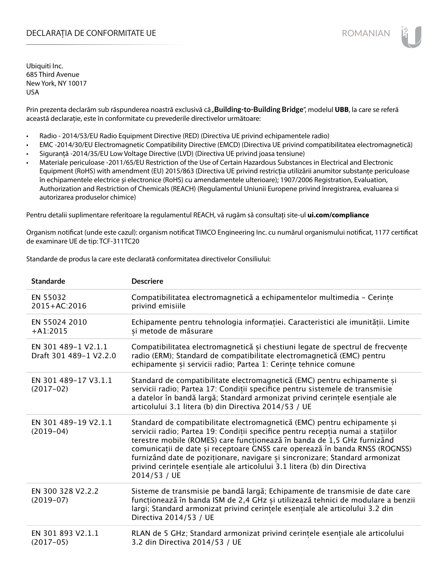## DECLARAȚIA DE CONFORMITATE UE EXECUTE DE ROMANIAN

Ubiquiti Inc. 685 Third Avenue New York, NY 10017 USA

Prin prezenta declarăm sub răspunderea noastră exclusivă că "**Building-to-Building Bridge**", modelul UBB, la care se referă această declarație, este în conformitate cu prevederile directivelor următoare:

- Radio 2014/53/EU Radio Equipment Directive (RED) (Directiva UE privind echipamentele radio)
- EMC -2014/30/EU Electromagnetic Compatibility Directive (EMCD) (Directiva UE privind compatibilitatea electromagnetică)
- Siguranță -2014/35/EU Low Voltage Directive (LVD) (Directiva UE privind joasa tensiune)
- Materiale periculoase -2011/65/EU Restriction of the Use of Certain Hazardous Substances in Electrical and Electronic Equipment (RoHS) with amendment (EU) 2015/863 (Directiva UE privind restricția utilizării anumitor substanțe periculoase în echipamentele electrice și electronice (RoHS) cu amendamentele ulterioare); 1907/2006 Registration, Evaluation, Authorization and Restriction of Chemicals (REACH) (Regulamentul Uniunii Europene privind înregistrarea, evaluarea si autorizarea produselor chimice)

Pentru detalii suplimentare referitoare la regulamentul REACH, vă rugăm să consultați site-ul **ui.com/compliance**

Organism notificat (unde este cazul): organism notificat TIMCO Engineering Inc. cu numărul organismului notificat, 1177 certificat de examinare UE de tip: TCF-311TC20

Standarde de produs la care este declarată conformitatea directivelor Consiliului:

| <b>Standarde</b>                              | <b>Descriere</b>                                                                                                                                                                                                                                                                                                                                                                                                                                                                                 |
|-----------------------------------------------|--------------------------------------------------------------------------------------------------------------------------------------------------------------------------------------------------------------------------------------------------------------------------------------------------------------------------------------------------------------------------------------------------------------------------------------------------------------------------------------------------|
| EN 55032<br>2015+AC:2016                      | Compatibilitatea electromagnetică a echipamentelor multimedia - Cerințe<br>privind emisiile                                                                                                                                                                                                                                                                                                                                                                                                      |
| EN 55024 2010<br>$+A1:2015$                   | Echipamente pentru tehnologia informației. Caracteristici ale imunității. Limite<br>și metode de măsurare                                                                                                                                                                                                                                                                                                                                                                                        |
| EN 301 489-1 V2.1.1<br>Draft 301 489-1 V2.2.0 | Compatibilitatea electromagnetică și chestiuni legate de spectrul de frecvențe<br>radio (ERM); Standard de compatibilitate electromagnetică (EMC) pentru<br>echipamente și servicii radio; Partea 1: Cerințe tehnice comune                                                                                                                                                                                                                                                                      |
| EN 301 489-17 V3.1.1<br>$(2017-02)$           | Standard de compatibilitate electromagnetică (EMC) pentru echipamente și<br>servicii radio; Partea 17: Condiții specifice pentru sistemele de transmisie<br>a datelor în bandă largă; Standard armonizat privind cerințele esențiale ale<br>articolului 3.1 litera (b) din Directiva 2014/53 / UE                                                                                                                                                                                                |
| EN 301 489-19 V2.1.1<br>$(2019-04)$           | Standard de compatibilitate electromagnetică (EMC) pentru echipamente și<br>servicii radio; Partea 19: Condiții specifice pentru recepția numai a stațiilor<br>terestre mobile (ROMES) care funcționează în banda de 1,5 GHz furnizând<br>comunicații de date și receptoare GNSS care operează în banda RNSS (ROGNSS)<br>furnizând date de poziționare, navigare și sincronizare; Standard armonizat<br>privind cerintele esentiale ale articolului 3.1 litera (b) din Directiva<br>2014/53 / UE |
| EN 300 328 V2.2.2<br>$(2019-07)$              | Sisteme de transmisie pe bandă largă; Echipamente de transmisie de date care<br>funcționează în banda ISM de 2,4 GHz și utilizează tehnici de modulare a benzii<br>largi; Standard armonizat privind cerințele esențiale ale articolului 3.2 din<br>Directiva 2014/53 / UE                                                                                                                                                                                                                       |
| EN 301 893 V2.1.1<br>$(2017-05)$              | RLAN de 5 GHz; Standard armonizat privind cerințele esențiale ale articolului<br>3.2 din Directiva 2014/53 / UE                                                                                                                                                                                                                                                                                                                                                                                  |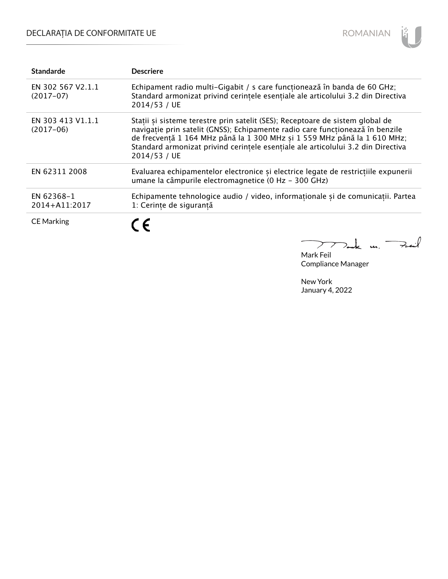# DECLARAȚIA DE CONFORMITATE UE



| <b>Standarde</b>                 | <b>Descriere</b>                                                                                                                                                                                                                                                                                                                               |
|----------------------------------|------------------------------------------------------------------------------------------------------------------------------------------------------------------------------------------------------------------------------------------------------------------------------------------------------------------------------------------------|
| EN 302 567 V2.1.1<br>$(2017-07)$ | Echipament radio multi-Gigabit / s care funcționează în banda de 60 GHz;<br>Standard armonizat privind cerințele esențiale ale articolului 3.2 din Directiva<br>2014/53 / UE                                                                                                                                                                   |
| EN 303 413 V1.1.1<br>$(2017-06)$ | Statii si sisteme terestre prin satelit (SES); Receptoare de sistem global de<br>navigație prin satelit (GNSS); Echipamente radio care funcționează în benzile<br>de frecvență 1 164 MHz până la 1 300 MHz și 1 559 MHz până la 1 610 MHz;<br>Standard armonizat privind cerințele esențiale ale articolului 3.2 din Directiva<br>2014/53 / UE |
| EN 62311 2008                    | Evaluarea echipamentelor electronice și electrice legate de restricțiile expunerii<br>umane la câmpurile electromagnetice (0 Hz - 300 GHz)                                                                                                                                                                                                     |
| EN 62368-1<br>2014+A11:2017      | Echipamente tehnologice audio / video, informaționale și de comunicații. Partea<br>1: Cerințe de siguranță                                                                                                                                                                                                                                     |
| <b>CE Marking</b>                | C E                                                                                                                                                                                                                                                                                                                                            |

mak m. Fail 

Mark Feil Compliance Manager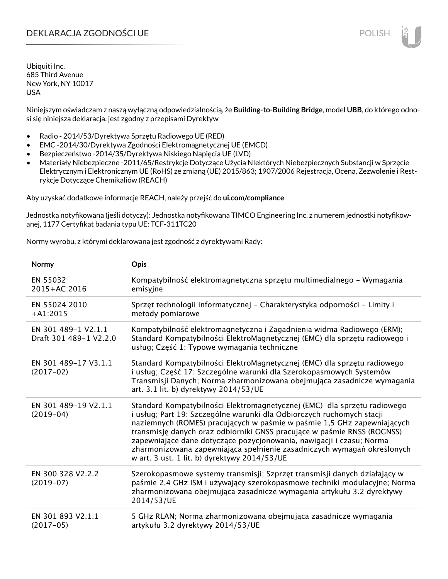## DEKLARACJA ZGODNOŚCI UE POLISH POLISH

Ubiquiti Inc. 685 Third Avenue New York, NY 10017 USA

Niniejszym oświadczam z naszą wyłączną odpowiedzialnością, że **Building-to-Building Bridge**, model **UBB**, do którego odnosi się niniejsza deklaracja, jest zgodny z przepisami Dyrektyw

- Radio 2014/53/Dyrektywa Sprzętu Radiowego UE (RED)
- EMC -2014/30/Dyrektywa Zgodności Elektromagnetycznej UE (EMCD)
- Bezpieczeństwo -2014/35/Dyrektywa Niskiego Napięcia UE (LVD)
- Materiały Niebezpieczne -2011/65/Restrykcje Dotyczące Użycia NIektórych Niebezpiecznych Substancji w Sprzęcie Elektrycznym i Elektronicznym UE (RoHS) ze zmianą (UE) 2015/863; 1907/2006 Rejestracja, Ocena, Zezwolenie i Restrykcje Dotyczące Chemikaliów (REACH)

Aby uzyskać dodatkowe informacje REACH, należy przejść do **ui.com/compliance**

Jednostka notyfikowana (jeśli dotyczy): Jednostka notyfikowana TIMCO Engineering Inc. z numerem jednostki notyfikowanej, 1177 Certyfikat badania typu UE: TCF-311TC20

Normy wyrobu, z którymi deklarowana jest zgodność z dyrektywami Rady:

| Normy                                         | Opis                                                                                                                                                                                                                                                                                                                                                                                                                                                                                                       |
|-----------------------------------------------|------------------------------------------------------------------------------------------------------------------------------------------------------------------------------------------------------------------------------------------------------------------------------------------------------------------------------------------------------------------------------------------------------------------------------------------------------------------------------------------------------------|
| EN 55032<br>$2015 + AC:2016$                  | Kompatybilność elektromagnetyczna sprzętu multimedialnego – Wymagania<br>emisyjne                                                                                                                                                                                                                                                                                                                                                                                                                          |
| EN 55024 2010<br>$+A1:2015$                   | Sprzęt technologii informatycznej – Charakterystyka odporności – Limity i<br>metody pomiarowe                                                                                                                                                                                                                                                                                                                                                                                                              |
| EN 301 489-1 V2.1.1<br>Draft 301 489-1 V2.2.0 | Kompatybilność elektromagnetyczna i Zagadnienia widma Radiowego (ERM);<br>Standard Kompatybilności ElektroMagnetycznej (EMC) dla sprzętu radiowego i<br>usług; Część 1: Typowe wymagania techniczne                                                                                                                                                                                                                                                                                                        |
| EN 301 489-17 V3.1.1<br>$(2017-02)$           | Standard Kompatybilności ElektroMagnetycznej (EMC) dla sprzętu radiowego<br>i usług; Część 17: Szczególne warunki dla Szerokopasmowych Systemów<br>Transmisji Danych; Norma zharmonizowana obejmująca zasadnicze wymagania<br>art. 3.1 lit. b) dyrektywy 2014/53/UE                                                                                                                                                                                                                                        |
| EN 301 489-19 V2.1.1<br>$(2019-04)$           | Standard Kompatybilności Elektromagnetycznej (EMC) dla sprzętu radiowego<br>i usług; Part 19: Szczególne warunki dla Odbiorczych ruchomych stacji<br>naziemnych (ROMES) pracujących w paśmie w paśmie 1,5 GHz zapewniających<br>transmisję danych oraz odbiorniki GNSS pracujące w paśmie RNSS (ROGNSS)<br>zapewniające dane dotyczące pozycjonowania, nawigacji i czasu; Norma<br>zharmonizowana zapewniająca spełnienie zasadniczych wymagań określonych<br>w art. 3 ust. 1 lit. b) dyrektywy 2014/53/UE |
| EN 300 328 V2.2.2<br>$(2019-07)$              | Szerokopasmowe systemy transmisji; Szprzęt transmisji danych działający w<br>paśmie 2,4 GHz ISM i używający szerokopasmowe techniki modulacyjne; Norma<br>zharmonizowana obejmująca zasadnicze wymagania artykułu 3.2 dyrektywy<br>2014/53/UE                                                                                                                                                                                                                                                              |
| EN 301 893 V2.1.1<br>$(2017-05)$              | 5 GHz RLAN; Norma zharmonizowana obejmująca zasadnicze wymagania<br>artykułu 3.2 dyrektywy 2014/53/UE                                                                                                                                                                                                                                                                                                                                                                                                      |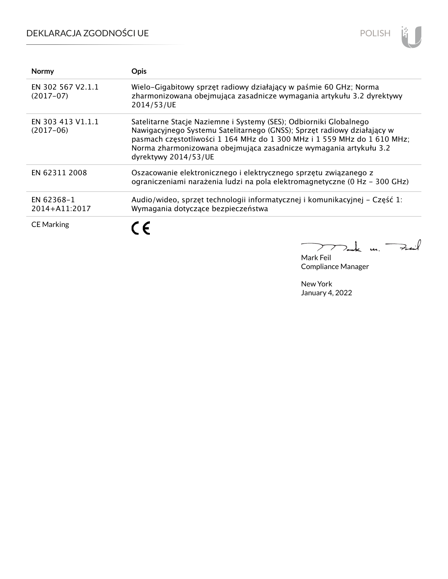# DEKLARACJA ZGODNOŚCI UE



| <b>Normy</b>                     | <b>Opis</b>                                                                                                                                                                                                                                                                                                           |
|----------------------------------|-----------------------------------------------------------------------------------------------------------------------------------------------------------------------------------------------------------------------------------------------------------------------------------------------------------------------|
| EN 302 567 V2.1.1<br>$(2017-07)$ | Wielo-Gigabitowy sprzęt radiowy działający w paśmie 60 GHz; Norma<br>zharmonizowana obejmująca zasadnicze wymagania artykułu 3.2 dyrektywy<br>2014/53/UE                                                                                                                                                              |
| EN 303 413 V1.1.1<br>$(2017-06)$ | Satelitarne Stacje Naziemne i Systemy (SES); Odbiorniki Globalnego<br>Nawigacyjnego Systemu Satelitarnego (GNSS); Sprzęt radiowy działający w<br>pasmach częstotliwości 1 164 MHz do 1 300 MHz i 1 559 MHz do 1 610 MHz;<br>Norma zharmonizowana obejmująca zasadnicze wymagania artykułu 3.2<br>dyrektywy 2014/53/UE |
| EN 62311 2008                    | Oszacowanie elektronicznego i elektrycznego sprzętu związanego z<br>ograniczeniami narażenia ludzi na pola elektromagnetyczne (0 Hz - 300 GHz)                                                                                                                                                                        |
| EN 62368-1<br>2014+A11:2017      | Audio/wideo, sprzęt technologii informatycznej i komunikacyjnej - Część 1:<br>Wymagania dotyczące bezpieczeństwa                                                                                                                                                                                                      |
| <b>CE Marking</b>                |                                                                                                                                                                                                                                                                                                                       |

كمنعة  $\overline{\phantom{0}}$  $\sum$ m. ⊃.

Mark Feil Compliance Manager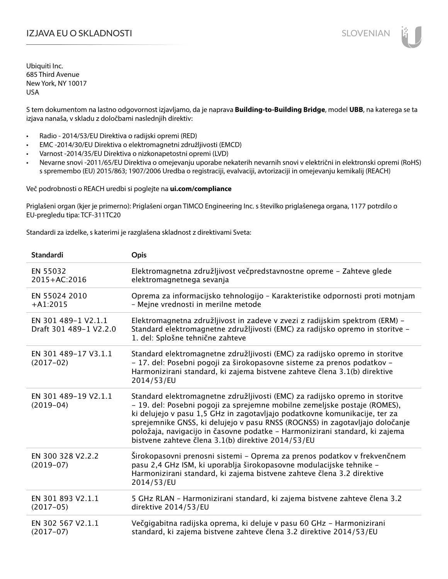## IZJAVA EU O SKLADNOSTI SLOVENIAN

Ubiquiti Inc. 685 Third Avenue New York, NY 10017 USA

S tem dokumentom na lastno odgovornost izjavljamo, da je naprava **Building-to-Building Bridge**, model **UBB**, na katerega se ta izjava nanaša, v skladu z določbami naslednjih direktiv:

- Radio 2014/53/EU Direktiva o radijski opremi (RED)
- EMC -2014/30/EU Direktiva o elektromagnetni združljivosti (EMCD)
- Varnost -2014/35/EU Direktiva o nizkonapetostni opremi (LVD)
- Nevarne snovi -2011/65/EU Direktiva o omejevanju uporabe nekaterih nevarnih snovi v električni in elektronski opremi (RoHS) s spremembo (EU) 2015/863; 1907/2006 Uredba o registraciji, evalvaciji, avtorizaciji in omejevanju kemikalij (REACH)

Več podrobnosti o REACH uredbi si poglejte na **ui.com/compliance**

Priglašeni organ (kjer je primerno): Priglašeni organ TIMCO Engineering Inc. s številko priglašenega organa, 1177 potrdilo o EU-pregledu tipa: TCF-311TC20

Standardi za izdelke, s katerimi je razglašena skladnost z direktivami Sveta:

| Standardi                                     | <b>Opis</b>                                                                                                                                                                                                                                                                                                                                                                                                                                                 |
|-----------------------------------------------|-------------------------------------------------------------------------------------------------------------------------------------------------------------------------------------------------------------------------------------------------------------------------------------------------------------------------------------------------------------------------------------------------------------------------------------------------------------|
| EN 55032<br>2015+AC:2016                      | Elektromagnetna združljivost večpredstavnostne opreme - Zahteve glede<br>elektromagnetnega sevanja                                                                                                                                                                                                                                                                                                                                                          |
| EN 55024 2010<br>$+A1:2015$                   | Oprema za informacijsko tehnologijo - Karakteristike odpornosti proti motnjam<br>- Mejne vrednosti in merilne metode                                                                                                                                                                                                                                                                                                                                        |
| EN 301 489-1 V2.1.1<br>Draft 301 489-1 V2.2.0 | Elektromagnetna združljivost in zadeve v zvezi z radijskim spektrom (ERM) -<br>Standard elektromagnetne združljivosti (EMC) za radijsko opremo in storitve -<br>1. del: Splošne tehnične zahteve                                                                                                                                                                                                                                                            |
| EN 301 489-17 V3.1.1<br>$(2017-02)$           | Standard elektromagnetne združljivosti (EMC) za radijsko opremo in storitve<br>- 17. del: Posebni pogoji za širokopasovne sisteme za prenos podatkov -<br>Harmonizirani standard, ki zajema bistvene zahteve člena 3.1(b) direktive<br>2014/53/EU                                                                                                                                                                                                           |
| EN 301 489-19 V2.1.1<br>$(2019-04)$           | Standard elektromagnetne združljivosti (EMC) za radijsko opremo in storitve<br>- 19. del: Posebni pogoji za sprejemne mobilne zemeljske postaje (ROMES),<br>ki delujejo v pasu 1,5 GHz in zagotavljajo podatkovne komunikacije, ter za<br>sprejemnike GNSS, ki delujejo v pasu RNSS (ROGNSS) in zagotavljajo določanje<br>položaja, navigacijo in časovne podatke - Harmonizirani standard, ki zajema<br>bistvene zahteve člena 3.1(b) direktive 2014/53/EU |
| EN 300 328 V2.2.2<br>$(2019-07)$              | Širokopasovni prenosni sistemi – Oprema za prenos podatkov v frekvenčnem<br>pasu 2,4 GHz ISM, ki uporablja širokopasovne modulacijske tehnike -<br>Harmonizirani standard, ki zajema bistvene zahteve člena 3.2 direktive<br>2014/53/EU                                                                                                                                                                                                                     |
| EN 301 893 V2.1.1<br>$(2017-05)$              | 5 GHz RLAN - Harmonizirani standard, ki zajema bistvene zahteve člena 3.2<br>direktive 2014/53/EU                                                                                                                                                                                                                                                                                                                                                           |
| EN 302 567 V2.1.1<br>$(2017-07)$              | Večgigabitna radijska oprema, ki deluje v pasu 60 GHz - Harmonizirani<br>standard, ki zajema bistvene zahteve člena 3.2 direktive 2014/53/EU                                                                                                                                                                                                                                                                                                                |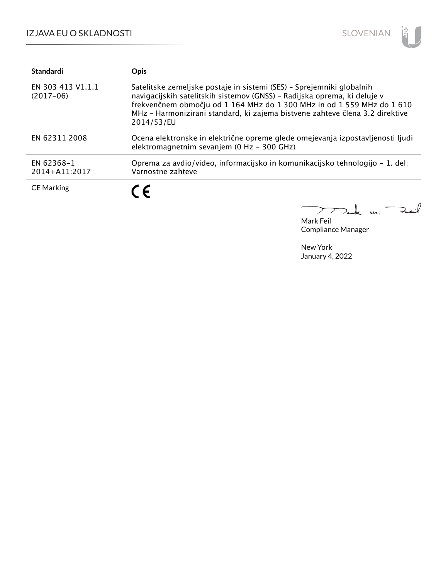

| <b>Standardi</b>                 | <b>Opis</b>                                                                                                                                                                                                                                                                                                               |
|----------------------------------|---------------------------------------------------------------------------------------------------------------------------------------------------------------------------------------------------------------------------------------------------------------------------------------------------------------------------|
| EN 303 413 V1.1.1<br>$(2017-06)$ | Satelitske zemeljske postaje in sistemi (SES) - Sprejemniki globalnih<br>navigacijskih satelitskih sistemov (GNSS) - Radijska oprema, ki deluje v<br>frekvenčnem območju od 1 164 MHz do 1 300 MHz in od 1 559 MHz do 1 610<br>MHz - Harmonizirani standard, ki zajema bistvene zahteve člena 3.2 direktive<br>2014/53/EU |
| EN 62311 2008                    | Ocena elektronske in električne opreme glede omejevanja izpostavljenosti ljudi<br>elektromagnetnim sevanjem (0 Hz - 300 GHz)                                                                                                                                                                                              |
| EN 62368-1<br>2014+A11:2017      | Oprema za avdio/video, informacijsko in komunikacijsko tehnologijo - 1. del:<br>Varnostne zahteve                                                                                                                                                                                                                         |
| <b>CE Marking</b>                | C E                                                                                                                                                                                                                                                                                                                       |
|                                  |                                                                                                                                                                                                                                                                                                                           |

Mark Feil Compliance Manager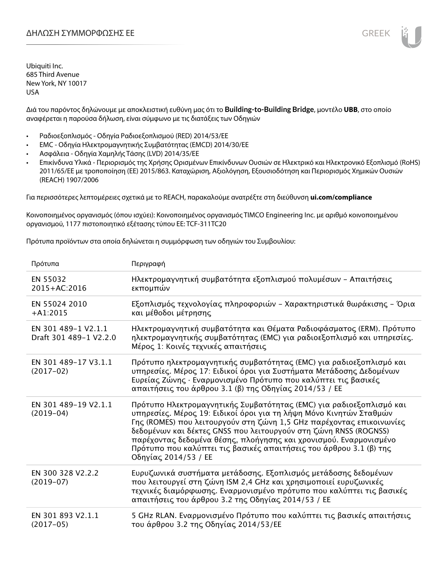Διά του παρόντος δηλώνουμε με αποκλειστική ευθύνη μας ότι το **Building-to-Building Bridge**, μοντέλο **UBB**, στο οποίο αναφέρεται η παρούσα δήλωση, είναι σύμφωνο με τις διατάξεις των Οδηγιών

- Ραδιοεξοπλισμός Οδηγία Ραδιοεξοπλισμού (RED) 2014/53/ΕΕ
- EMC Οδηγία Ηλεκτρομαγνητικής Συμβατότητας (EMCD) 2014/30/ΕΕ
- Ασφάλεια Οδηγία Χαμηλής Τάσης (LVD) 2014/35/ΕΕ
- Επικίνδυνα Υλικά Περιορισμός της Χρήσης Ορισμένων Επικίνδυνων Ουσιών σε Ηλεκτρικό και Ηλεκτρονικό Εξοπλισμό (RoHS) 2011/65/ΕΕ με τροποποίηση (ΕΕ) 2015/863. Καταχώριση, Αξιολόγηση, Εξουσιοδότηση και Περιορισμός Χημικών Ουσιών (REACH) 1907/2006

Για περισσότερες λεπτομέρειες σχετικά με το REACH, παρακαλούμε ανατρέξτε στη διεύθυνση **ui.com/compliance**

Κοινοποιημένος οργανισμός (όπου ισχύει): Κοινοποιημένος οργανισμός TIMCO Engineering Inc. με αριθμό κοινοποιημένου οργανισμού, 1177 πιστοποιητικό εξέτασης τύπου ΕΕ: TCF-311TC20

Πρότυπα προϊόντων στα οποία δηλώνεται η συμμόρφωση των οδηγιών του Συμβουλίου:

| Πρότυπα                                       | Περιγραφή                                                                                                                                                                                                                                                                                                                                                                                                                                                |
|-----------------------------------------------|----------------------------------------------------------------------------------------------------------------------------------------------------------------------------------------------------------------------------------------------------------------------------------------------------------------------------------------------------------------------------------------------------------------------------------------------------------|
| EN 55032<br>2015+AC:2016                      | Ηλεκτρομαγνητική συμβατότητα εξοπλισμού πολυμέσων - Απαιτήσεις<br>εκπομπών                                                                                                                                                                                                                                                                                                                                                                               |
| EN 55024 2010<br>$+A1:2015$                   | Εξοπλισμός τεχνολογίας πληροφοριών - Χαρακτηριστικά θωράκισης - Όρια<br>και μέθοδοι μέτρησης                                                                                                                                                                                                                                                                                                                                                             |
| EN 301 489-1 V2.1.1<br>Draft 301 489-1 V2.2.0 | Ηλεκτρομαγνητική συμβατότητα και Θέματα Ραδιοφάσματος (ERM). Πρότυπο<br>ηλεκτρομαγνητικής συμβατότητας (ΕΜC) για ραδιοεξοπλισμό και υπηρεσίες.<br>Μέρος 1: Κοινές τεχνικές απαιτήσεις                                                                                                                                                                                                                                                                    |
| EN 301 489-17 V3.1.1<br>$(2017-02)$           | Πρότυπο ηλεκτρομαγνητικής συμβατότητας (EMC) για ραδιοεξοπλισμό και<br>υπηρεσίες. Μέρος 17: Ειδικοί όροι για Συστήματα Μετάδοσης Δεδομένων<br>Ευρείας Ζώνης · Εναρμονισμένο Πρότυπο που καλύπτει τις βασικές<br>απαιτήσεις του άρθρου 3.1 (β) της Οδηγίας 2014/53 / ΕΕ                                                                                                                                                                                   |
| EN 301 489-19 V2.1.1<br>$(2019-04)$           | Πρότυπο Ηλεκτρομαγνητικής Συμβατότητας (ΕΜC) για ραδιοεξοπλισμό και<br>υπηρεσίες. Μέρος 19: Ειδικοί όροι για τη λήψη Μόνο Κινητών Σταθμών<br>Γης (ROMES) που λειτουργούν στη ζώνη 1,5 GHz παρέχοντας επικοινωνίες<br>δεδομένων και δέκτες GNSS που λειτουργούν στη ζώνη RNSS (ROGNSS)<br>παρέχοντας δεδομένα θέσης, πλοήγησης και χρονισμού. Εναρμονισμένο<br>Πρότυπο που καλύπτει τις βασικές απαιτήσεις του άρθρου 3.1 (β) της<br>Οδηγίας 2014/53 / ΕΕ |
| EN 300 328 V2.2.2<br>$(2019-07)$              | Ευρυζωνικά συστήματα μετάδοσης. Εξοπλισμός μετάδοσης δεδομένων<br>που λειτουργεί στη ζώνη ISM 2,4 GHz και χρησιμοποιεί ευρυζωνικές<br>τεχνικές διαμόρφωσης. Εναρμονισμένο πρότυπο που καλύπτει τις βασικές<br>απαιτήσεις του άρθρου 3.2 της Οδηγίας 2014/53 / ΕΕ                                                                                                                                                                                         |
| EN 301 893 V2.1.1<br>$(2017-05)$              | 5 GHz RLAN. Εναρμονισμένο Πρότυπο που καλύπτει τις βασικές απαιτήσεις<br>του άρθρου 3.2 της Οδηγίας 2014/53/ΕΕ                                                                                                                                                                                                                                                                                                                                           |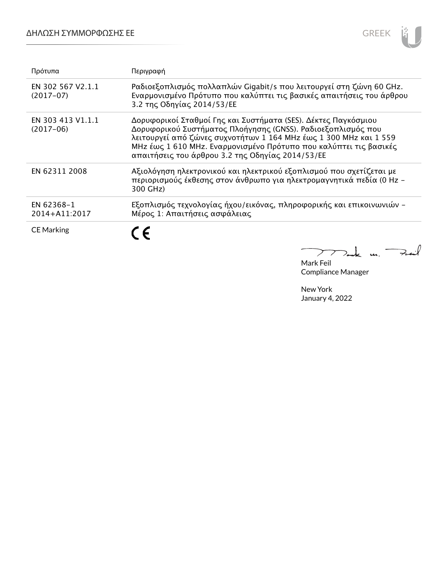## ΔΗΛΩΣΗ ΣΥΜΜΟΡΦΩΣΗΣ ΕΕ



| Πρότυπα                          | Περιγραφή                                                                                                                                                                                                                                                                                                                    |
|----------------------------------|------------------------------------------------------------------------------------------------------------------------------------------------------------------------------------------------------------------------------------------------------------------------------------------------------------------------------|
| EN 302 567 V2.1.1<br>$(2017-07)$ | Ραδιοεξοπλισμός πολλαπλών Gigabit/s που λειτουργεί στη ζώνη 60 GHz.<br>Εναρμονισμένο Πρότυπο που καλύπτει τις βασικές απαιτήσεις του άρθρου<br>3.2 της Οδηγίας 2014/53/ΕΕ                                                                                                                                                    |
| EN 303 413 V1.1.1<br>$(2017-06)$ | Δορυφορικοί Σταθμοί Γης και Συστήματα (SES). Δέκτες Παγκόσμιου<br>Δορυφορικού Συστήματος Πλοήγησης (GNSS). Ραδιοεξοπλισμός που<br>λειτουργεί από ζώνες συχνοτήτων 1 164 MHz έως 1 300 MHz και 1 559<br>MHz έως 1 610 MHz. Εναρμονισμένο Πρότυπο που καλύπτει τις βασικές<br>απαιτήσεις του άρθρου 3.2 της Οδηγίας 2014/53/ΕΕ |
| EN 62311 2008                    | Αξιολόγηση ηλεκτρονικού και ηλεκτρικού εξοπλισμού που σχετίζεται με<br>περιορισμούς έκθεσης στον άνθρωπο για ηλεκτρομαγνητικά πεδία (0 Hz -<br>300 GHz)                                                                                                                                                                      |
| EN 62368-1<br>2014+A11:2017      | Εξοπλισμός τεχνολογίας ήχου/εικόνας, πληροφορικής και επικοινωνιών -<br>Μέρος 1: Απαιτήσεις ασφάλειας                                                                                                                                                                                                                        |
| <b>CE Marking</b>                | ء َ′                                                                                                                                                                                                                                                                                                                         |

Tak m. Fait  $\searrow$ Mark Feil

Compliance Manager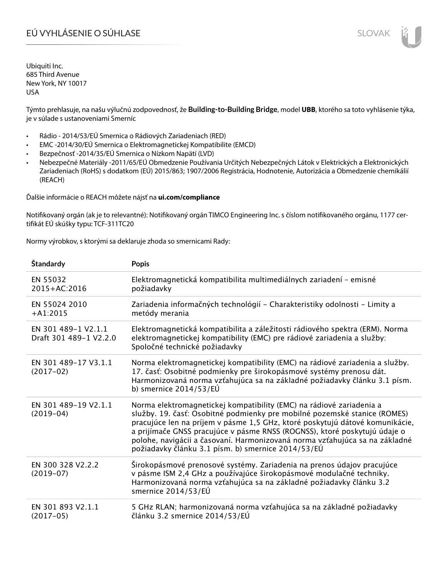# EÚ VYHLÁSENIE O SÚHLASE SLOVAK SLOVAK

Ubiquiti Inc. 685 Third Avenue New York, NY 10017 USA

Týmto prehlasuje, na našu výlučnú zodpovednosť, že **Building-to-Building Bridge**, model **UBB**, ktorého sa toto vyhlásenie týka, je v súlade s ustanoveniami Smerníc

- Rádio 2014/53/EÚ Smernica o Rádiových Zariadeniach (RED)
- EMC -2014/30/EÚ Smernica o Elektromagnetickej Kompatibilite (EMCD)
- Bezpečnosť -2014/35/EÚ Smernica o Nízkom Napätí (LVD)
- Nebezpečné Materiály -2011/65/EÚ Obmedzenie Používania Určitých Nebezpečných Látok v Elektrických a Elektronických Zariadeniach (RoHS) s dodatkom (EÚ) 2015/863; 1907/2006 Registrácia, Hodnotenie, Autorizácia a Obmedzenie chemikálií (REACH)

Ďalšie informácie o REACH môžete nájsť na **ui.com/compliance**

Notifikovaný orgán (ak je to relevantné): Notifikovaný orgán TIMCO Engineering Inc. s číslom notifikovaného orgánu, 1177 certifikát EÚ skúšky typu: TCF-311TC20

Normy výrobkov, s ktorými sa deklaruje zhoda so smernicami Rady:

| Štandardy                                     | <b>Popis</b>                                                                                                                                                                                                                                                                                                                                                                                                                                        |
|-----------------------------------------------|-----------------------------------------------------------------------------------------------------------------------------------------------------------------------------------------------------------------------------------------------------------------------------------------------------------------------------------------------------------------------------------------------------------------------------------------------------|
| EN 55032<br>2015+AC:2016                      | Elektromagnetická kompatibilita multimediálnych zariadení - emisné<br>požiadavky                                                                                                                                                                                                                                                                                                                                                                    |
| EN 55024 2010<br>$+A1:2015$                   | Zariadenia informačných technológií - Charakteristiky odolnosti - Limity a<br>metódy merania                                                                                                                                                                                                                                                                                                                                                        |
| EN 301 489-1 V2.1.1<br>Draft 301 489-1 V2.2.0 | Elektromagnetická kompatibilita a záležitosti rádiového spektra (ERM). Norma<br>elektromagnetickej kompatibility (EMC) pre rádiové zariadenia a služby:<br>Spoločné technické požiadavky                                                                                                                                                                                                                                                            |
| EN 301 489-17 V3.1.1<br>$(2017-02)$           | Norma elektromagnetickej kompatibility (EMC) na rádiové zariadenia a služby.<br>17. časť: Osobitné podmienky pre širokopásmové systémy prenosu dát.<br>Harmonizovaná norma vzťahujúca sa na základné požiadavky článku 3.1 písm.<br>b) smernice $2014/53/EU$                                                                                                                                                                                        |
| EN 301 489-19 V2.1.1<br>$(2019-04)$           | Norma elektromagnetickej kompatibility (EMC) na rádiové zariadenia a<br>služby. 19. časť: Osobitné podmienky pre mobilné pozemské stanice (ROMES)<br>pracujúce len na príjem v pásme 1,5 GHz, ktoré poskytujú dátové komunikácie,<br>a prijímače GNSS pracujúce v pásme RNSS (ROGNSS), ktoré poskytujú údaje o<br>polohe, navigácii a časovaní. Harmonizovaná norma vzťahujúca sa na základné<br>požiadavky článku 3.1 písm. b) smernice 2014/53/EÚ |
| EN 300 328 V2.2.2<br>$(2019-07)$              | Širokopásmové prenosové systémy. Zariadenia na prenos údajov pracujúce<br>v pásme ISM 2,4 GHz a používajúce širokopásmové modulačné techniky.<br>Harmonizovaná norma vzťahujúca sa na základné požiadavky článku 3.2<br>smernice 2014/53/EÚ                                                                                                                                                                                                         |
| EN 301 893 V2.1.1<br>$(2017-05)$              | 5 GHz RLAN; harmonizovaná norma vzťahujúca sa na základné požiadavky<br>článku 3.2 smernice 2014/53/EÚ                                                                                                                                                                                                                                                                                                                                              |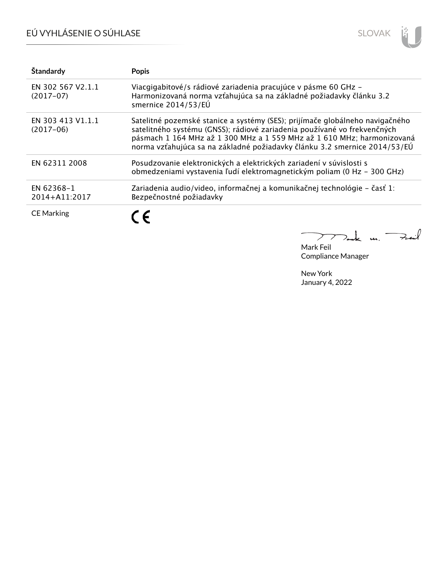# EÚ VYHLÁSENIE O SÚHLASE



| Štandardy                        | <b>Popis</b>                                                                                                                                                                                                                                                                                                    |
|----------------------------------|-----------------------------------------------------------------------------------------------------------------------------------------------------------------------------------------------------------------------------------------------------------------------------------------------------------------|
| EN 302 567 V2.1.1<br>$(2017-07)$ | Viacgigabitové/s rádiové zariadenia pracujúce v pásme 60 GHz -<br>Harmonizovaná norma vzťahujúca sa na základné požiadavky článku 3.2<br>smernice 2014/53/EÚ                                                                                                                                                    |
| EN 303 413 V1.1.1<br>$(2017-06)$ | Satelitné pozemské stanice a systémy (SES); prijímače globálneho navigačného<br>satelitného systému (GNSS); rádiové zariadenia používané vo frekvenčných<br>pásmach 1 164 MHz až 1 300 MHz a 1 559 MHz až 1 610 MHz; harmonizovaná<br>norma vzťahujúca sa na základné požiadavky článku 3.2 smernice 2014/53/EÚ |
| EN 62311 2008                    | Posudzovanie elektronických a elektrických zariadení v súvislosti s<br>obmedzeniami vystavenia ľudí elektromagnetickým poliam (0 Hz - 300 GHz)                                                                                                                                                                  |
| EN 62368-1<br>2014+A11:2017      | Zariadenia audio/video, informačnej a komunikačnej technológie – časť 1:<br>Bezpečnostné požiadavky                                                                                                                                                                                                             |
| <b>CE Marking</b>                | $\epsilon$                                                                                                                                                                                                                                                                                                      |

 $k$  m. Fail  $\mathcal{P}\mathcal{P}$  $\sum_{i=1}^{n}$ 

Mark Feil Compliance Manager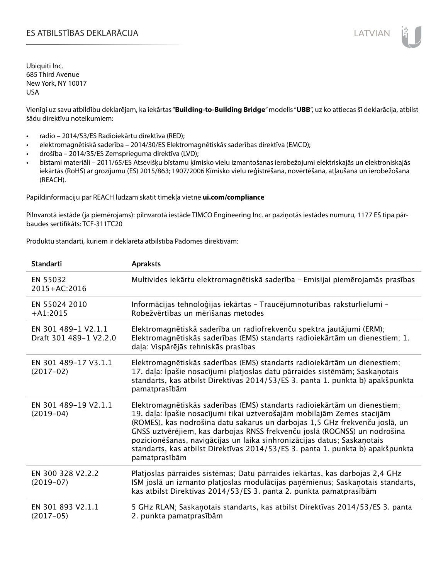## ES ATBILSTĪBAS DEKLARĀCIJA VALODAS ARĀ ATBILSTĪBAS DEKLARĀCIJA VALODAS ARĀ ATBILSTĪBAS DEKLARĀCIJA VALODAS ARĀ

Ubiquiti Inc. 685 Third Avenue New York, NY 10017 USA

Vienīgi uz savu atbildību deklarējam, ka iekārtas "**Building-to-Building Bridge**" modelis "**UBB**", uz ko attiecas šī deklarācija, atbilst šādu direktīvu noteikumiem:

- radio 2014/53/ES Radioiekārtu direktīva (RED);
- elektromagnētiskā saderība 2014/30/ES Elektromagnētiskās saderības direktīva (EMCD);
- drošība 2014/35/ES Zemsprieguma direktīva (LVD);
- bīstami materiāli 2011/65/ES Atsevišķu bīstamu ķīmisko vielu izmantošanas ierobežojumi elektriskajās un elektroniskajās iekārtās (RoHS) ar grozījumu (ES) 2015/863; 1907/2006 Ķīmisko vielu reģistrēšana, novērtēšana, atļaušana un ierobežošana (REACH).

Papildinformāciju par REACH lūdzam skatīt tīmekļa vietnē **ui.com/compliance**

Pilnvarotā iestāde (ja piemērojams): pilnvarotā iestāde TIMCO Engineering Inc. ar paziņotās iestādes numuru, 1177 ES tipa pārbaudes sertifikāts: TCF-311TC20

Produktu standarti, kuriem ir deklarēta atbilstība Padomes direktīvām:

| <b>Standarti</b>                              | <b>Apraksts</b>                                                                                                                                                                                                                                                                                                                                                                                                                                                                                |
|-----------------------------------------------|------------------------------------------------------------------------------------------------------------------------------------------------------------------------------------------------------------------------------------------------------------------------------------------------------------------------------------------------------------------------------------------------------------------------------------------------------------------------------------------------|
| EN 55032<br>2015+AC:2016                      | Multivides iekārtu elektromagnētiskā saderība - Emisijai piemērojamās prasības                                                                                                                                                                                                                                                                                                                                                                                                                 |
| EN 55024 2010<br>$+A1:2015$                   | Informācijas tehnoloģijas iekārtas - Traucējumnoturības raksturlielumi -<br>Robežvērtības un mērīšanas metodes                                                                                                                                                                                                                                                                                                                                                                                 |
| EN 301 489-1 V2.1.1<br>Draft 301 489-1 V2.2.0 | Elektromagnētiskā saderība un radiofrekvenču spektra jautājumi (ERM);<br>Elektromagnētiskās saderības (EMS) standarts radioiekārtām un dienestiem; 1.<br>daļa: Vispārējās tehniskās prasības                                                                                                                                                                                                                                                                                                   |
| EN 301 489-17 V3.1.1<br>$(2017-02)$           | Elektromagnētiskās saderības (EMS) standarts radioiekārtām un dienestiem;<br>17. daļa: Īpašie nosacījumi platjoslas datu pārraides sistēmām; Saskaņotais<br>standarts, kas atbilst Direktīvas 2014/53/ES 3. panta 1. punkta b) apakšpunkta<br>pamatprasībām                                                                                                                                                                                                                                    |
| EN 301 489-19 V2.1.1<br>$(2019-04)$           | Elektromagnētiskās saderības (EMS) standarts radioiekārtām un dienestiem;<br>19. daļa: Īpašie nosacījumi tikai uztverošajām mobilajām Zemes stacijām<br>(ROMES), kas nodrošina datu sakarus un darbojas 1,5 GHz frekvenču joslā, un<br>GNSS uztvērējiem, kas darbojas RNSS frekvenču joslā (ROGNSS) un nodrošina<br>pozicionēšanas, navigācijas un laika sinhronizācijas datus; Saskaņotais<br>standarts, kas atbilst Direktīvas 2014/53/ES 3. panta 1. punkta b) apakšpunkta<br>pamatprasībām |
| EN 300 328 V2.2.2<br>$(2019-07)$              | Platjoslas pārraides sistēmas; Datu pārraides iekārtas, kas darbojas 2,4 GHz<br>ISM joslā un izmanto platjoslas modulācijas paņēmienus; Saskaņotais standarts,<br>kas atbilst Direktīvas 2014/53/ES 3. panta 2. punkta pamatprasībām                                                                                                                                                                                                                                                           |
| EN 301 893 V2.1.1<br>$(2017-05)$              | 5 GHz RLAN; Saskaņotais standarts, kas atbilst Direktīvas 2014/53/ES 3. panta<br>2. punkta pamatprasībām                                                                                                                                                                                                                                                                                                                                                                                       |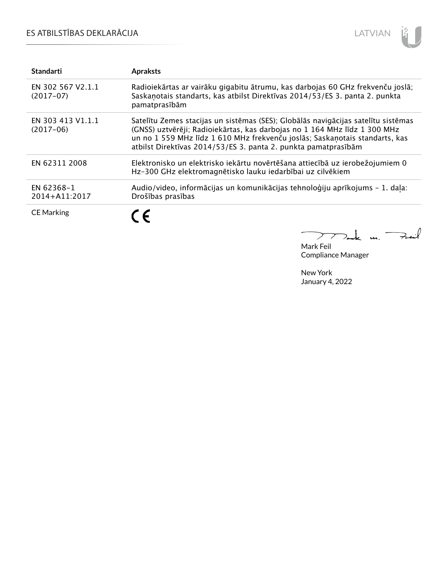# ES ATBILSTĪBAS DEKLARĀCIJA



| <b>Standarti</b>                 | <b>Apraksts</b>                                                                                                                                                                                                                                                                                                 |
|----------------------------------|-----------------------------------------------------------------------------------------------------------------------------------------------------------------------------------------------------------------------------------------------------------------------------------------------------------------|
| EN 302 567 V2.1.1<br>$(2017-07)$ | Radioiekārtas ar vairāku gigabitu ātrumu, kas darbojas 60 GHz frekvenču joslā;<br>Saskaņotais standarts, kas atbilst Direktīvas 2014/53/ES 3. panta 2. punkta<br>pamatprasībām                                                                                                                                  |
| EN 303 413 V1.1.1<br>$(2017-06)$ | Satelītu Zemes stacijas un sistēmas (SES); Globālās navigācijas satelītu sistēmas<br>(GNSS) uztvērēji; Radioiekārtas, kas darbojas no 1 164 MHz līdz 1 300 MHz<br>un no 1 559 MHz līdz 1 610 MHz frekvenču joslās; Saskaņotais standarts, kas<br>atbilst Direktīvas 2014/53/ES 3. panta 2. punkta pamatprasībām |
| EN 62311 2008                    | Elektronisko un elektrisko iekārtu novērtēšana attiecībā uz ierobežojumiem 0<br>Hz-300 GHz elektromagnētisko lauku iedarbībai uz cilvēkiem                                                                                                                                                                      |
| EN 62368-1<br>2014+A11:2017      | Audio/video, informācijas un komunikācijas tehnoloģiju aprīkojums - 1. daļa:<br>Drošības prasības                                                                                                                                                                                                               |
| <b>CE Marking</b>                |                                                                                                                                                                                                                                                                                                                 |

 $\Rightarrow$ il  $\overline{a}$ m. <sup>-</sup>  $\geq$ 

Mark Feil Compliance Manager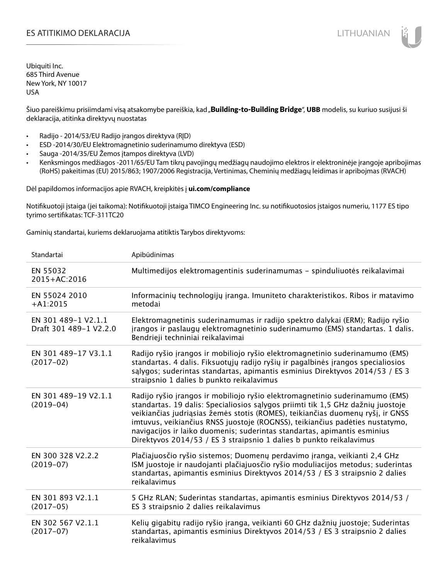## ES ATITIKIMO DEKLARACIJA NA SATITIKIMO DEKLARACIJA NA SATITIKIMO DE SATITIKIMO DE KLARACIJA NA SATITIKIMO DE KLA

Ubiquiti Inc. 685 Third Avenue New York, NY 10017 USA

Šiuo pareiškimu prisiimdami visą atsakomybe pareiškia, kad "**Building-to-Building Bridge", UBB** modelis, su kuriuo susijusi ši deklaracija, atitinka direktyvų nuostatas

- Radijo 2014/53/EU Radijo įrangos direktyva (RĮD)
- ESD -2014/30/EU Elektromagnetinio suderinamumo direktyva (ESD)
- Sauga -2014/35/EU Žemos įtampos direktyva (LVD)
- Kenksmingos medžiagos -2011/65/EU Tam tikrų pavojingų medžiagų naudojimo elektros ir elektroninėje įrangoje apribojimas (RoHS) pakeitimas (EU) 2015/863; 1907/2006 Registracija, Vertinimas, Cheminių medžiagų leidimas ir apribojmas (RVACH)

Dėl papildomos informacijos apie RVACH, kreipkitės į **ui.com/compliance**

Notifikuotoji įstaiga (jei taikoma): Notifikuotoji įstaiga TIMCO Engineering Inc. su notifikuotosios įstaigos numeriu, 1177 ES tipo tyrimo sertifikatas: TCF-311TC20

Gaminių standartai, kuriems deklaruojama atitiktis Tarybos direktyvoms:

| Standartai                                    | Apibūdinimas                                                                                                                                                                                                                                                                                                                                                                                                                                                                         |
|-----------------------------------------------|--------------------------------------------------------------------------------------------------------------------------------------------------------------------------------------------------------------------------------------------------------------------------------------------------------------------------------------------------------------------------------------------------------------------------------------------------------------------------------------|
| EN 55032<br>2015+AC:2016                      | Multimedijos elektromagentinis suderinamumas - spinduliuotės reikalavimai                                                                                                                                                                                                                                                                                                                                                                                                            |
| EN 55024 2010<br>$+A1:2015$                   | Informacinių technologijų įranga. Imuniteto charakteristikos. Ribos ir matavimo<br>metodai                                                                                                                                                                                                                                                                                                                                                                                           |
| EN 301 489-1 V2.1.1<br>Draft 301 489-1 V2.2.0 | Elektromagnetinis suderinamumas ir radijo spektro dalykai (ERM); Radijo ryšio<br>jrangos ir paslaugų elektromagnetinio suderinamumo (EMS) standartas. 1 dalis.<br>Bendrieji techniniai reikalavimai                                                                                                                                                                                                                                                                                  |
| EN 301 489-17 V3.1.1<br>$(2017-02)$           | Radijo ryšio įrangos ir mobiliojo ryšio elektromagnetinio suderinamumo (EMS)<br>standartas. 4 dalis. Fiksuotųjų radijo ryšių ir pagalbinės įrangos specialiosios<br>salygos; suderintas standartas, apimantis esminius Direktyvos 2014/53 / ES 3<br>straipsnio 1 dalies b punkto reikalavimus                                                                                                                                                                                        |
| EN 301 489-19 V2.1.1<br>$(2019-04)$           | Radijo ryšio įrangos ir mobiliojo ryšio elektromagnetinio suderinamumo (EMS)<br>standartas. 19 dalis: Specialiosios sąlygos priimti tik 1,5 GHz dažnių juostoje<br>veikiančias judriąsias žemės stotis (ROMES), teikiančias duomenų ryšį, ir GNSS<br>imtuvus, veikiančius RNSS juostoje (ROGNSS), teikiančius padėties nustatymo,<br>navigacijos ir laiko duomenis; suderintas standartas, apimantis esminius<br>Direktyvos 2014/53 / ES 3 straipsnio 1 dalies b punkto reikalavimus |
| EN 300 328 V2.2.2<br>$(2019-07)$              | Plačiajuosčio ryšio sistemos; Duomenų perdavimo įranga, veikianti 2,4 GHz<br>ISM juostoje ir naudojanti plačiajuosčio ryšio moduliacijos metodus; suderintas<br>standartas, apimantis esminius Direktyvos 2014/53 / ES 3 straipsnio 2 dalies<br>reikalavimus                                                                                                                                                                                                                         |
| EN 301 893 V2.1.1<br>$(2017-05)$              | 5 GHz RLAN; Suderintas standartas, apimantis esminius Direktyvos 2014/53 /<br>ES 3 straipsnio 2 dalies reikalavimus                                                                                                                                                                                                                                                                                                                                                                  |
| EN 302 567 V2.1.1<br>$(2017-07)$              | Kelių gigabitų radijo ryšio įranga, veikianti 60 GHz dažnių juostoje; Suderintas<br>standartas, apimantis esminius Direktyvos 2014/53 / ES 3 straipsnio 2 dalies<br>reikalavimus                                                                                                                                                                                                                                                                                                     |